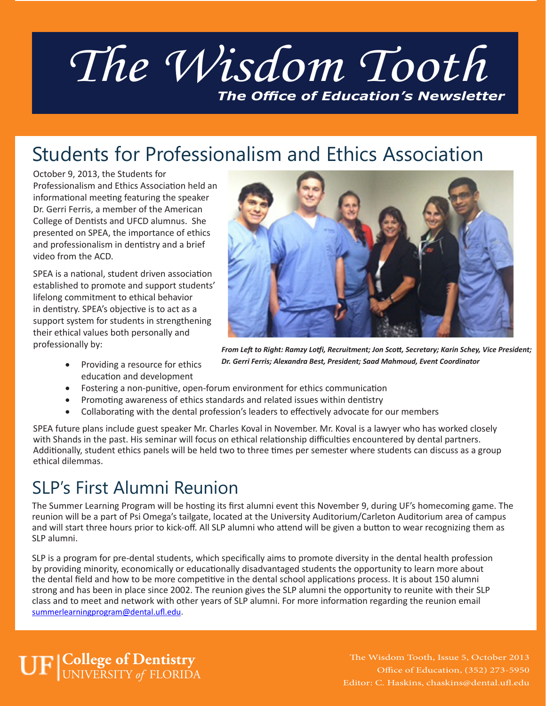# *The Wisdom Tooth The Office of Education's Newsletter*

### Students for Professionalism and Ethics Association

October 9, 2013, the Students for Professionalism and Ethics Association held an informational meeting featuring the speaker Dr. Gerri Ferris, a member of the American College of Dentists and UFCD alumnus. She presented on SPEA, the importance of ethics and professionalism in dentistry and a brief video from the ACD.

SPEA is a national, student driven association established to promote and support students' lifelong commitment to ethical behavior in dentistry. SPEA's objective is to act as a support system for students in strengthening their ethical values both personally and professionally by:

> • Providing a resource for ethics education and development



*From Left to Right: Ramzy Lotfi, Recruitment; Jon Scott, Secretary; Karin Schey, Vice President; Dr. Gerri Ferris; Alexandra Best, President; Saad Mahmoud, Event Coordinator*

- Fostering a non-punitive, open-forum environment for ethics communication
- Promoting awareness of ethics standards and related issues within dentistry
- Collaborating with the dental profession's leaders to effectively advocate for our members

SPEA future plans include guest speaker Mr. Charles Koval in November. Mr. Koval is a lawyer who has worked closely with Shands in the past. His seminar will focus on ethical relationship difficulties encountered by dental partners. Additionally, student ethics panels will be held two to three times per semester where students can discuss as a group ethical dilemmas.

### SLP's First Alumni Reunion

The Summer Learning Program will be hosting its first alumni event this November 9, during UF's homecoming game. The reunion will be a part of Psi Omega's tailgate, located at the University Auditorium/Carleton Auditorium area of campus and will start three hours prior to kick-off. All SLP alumni who attend will be given a button to wear recognizing them as SLP alumni.

SLP is a program for pre-dental students, which specifically aims to promote diversity in the dental health profession by providing minority, economically or educationally disadvantaged students the opportunity to learn more about the dental field and how to be more competitive in the dental school applications process. It is about 150 alumni strong and has been in place since 2002. The reunion gives the SLP alumni the opportunity to reunite with their SLP class and to meet and network with other years of SLP alumni. For more information regarding the reunion email summerlearningprogram@dental.ufl.edu.

**College of Dentistry** UNIVERSITY *of* FLORIDA

The Wisdom Tooth, Issue 5, October 2013 Office of Education, (352) 273-5950 Editor: C. Haskins, chaskins@dental.ufl.edu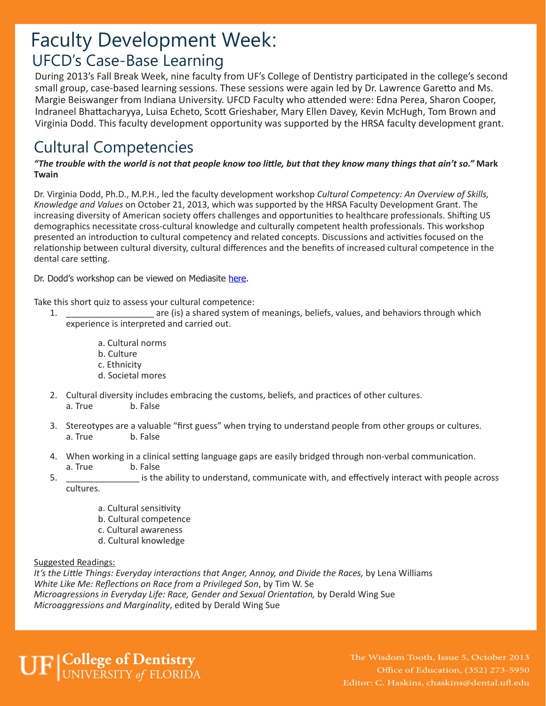### UFCD's Case-Base Learning Faculty Development Week:

During 2013's Fall Break Week, nine faculty from UF's College of Dentistry participated in the college's second small group, case-based learning sessions. These sessions were again led by Dr. Lawrence Garetto and Ms. Margie Beiswanger from Indiana University. UFCD Faculty who attended were: Edna Perea, Sharon Cooper, Indraneel Bhattacharyya, Luisa Echeto, Scott Grieshaber, Mary Ellen Davey, Kevin McHugh, Tom Brown and Virginia Dodd. This faculty development opportunity was supported by the HRSA faculty development grant.

### Cultural Competencies

#### *"The trouble with the world is not that people know too little, but that they know many things that ain't so."* **Mark Twain**

Dr. Virginia Dodd, Ph.D., M.P.H., led the faculty development workshop *Cultural Competency: An Overview of Skills, Knowledge and Values* on October 21, 2013, which was supported by the HRSA Faculty Development Grant. The increasing diversity of American society offers challenges and opportunities to healthcare professionals. Shifting US demographics necessitate cross-cultural knowledge and culturally competent health professionals. This workshop presented an introduction to cultural competency and related concepts. Discussions and activities focused on the relationship between cultural diversity, cultural differences and the benefits of increased cultural competence in the dental care setting.

Dr. Dodd's workshop can be viewed on Mediasite here.

Take this short quiz to assess your cultural competence:

- 1. \_\_\_\_\_\_\_\_\_\_\_\_\_\_\_\_\_\_ are (is) a shared system of meanings, beliefs, values, and behaviors through which experience is interpreted and carried out.
	- a. Cultural norms
	- b. Culture
	- c. Ethnicity
	- d. Societal mores
- 2. Cultural diversity includes embracing the customs, beliefs, and practices of other cultures. a. True b. False
- 3. Stereotypes are a valuable "first guess" when trying to understand people from other groups or cultures. a. True b. False
- 4. When working in a clinical setting language gaps are easily bridged through non-verbal communication. a. True b. False
- 5. \_\_\_\_\_\_\_\_\_\_\_\_\_\_\_ is the ability to understand, communicate with, and effectively interact with people across cultures.
	- a. Cultural sensitivity
	- b. Cultural competence
	- c. Cultural awareness
	- d. Cultural knowledge

#### Suggested Readings:

*It's the Little Things: Everyday interactions that Anger, Annoy, and Divide the Races,* by Lena Williams *White Like Me: Reflections on Race from a Privileged Son*, by Tim W. Se *Microagressions in Everyday Life: Race, Gender and Sexual Orientation,* by Derald Wing Sue *Microaggressions and Marginality*, edited by Derald Wing Sue

### **College of Dentistry** UNIVERSITY *of* FLORIDA

The Wisdom Tooth, Issue 5, October 2013 Office of Education, (352) 273-5950 Editor: C. Haskins, chaskins@dental.ufl.edu